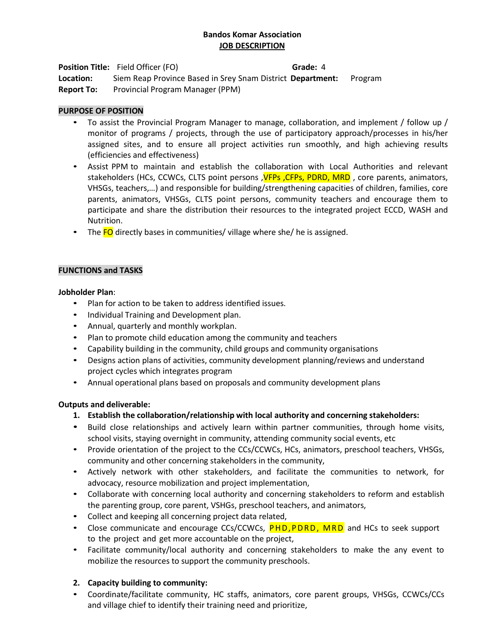## **Bandos Komar Association JOB DESCRIPTION**

**Position Title:** Field Officer (FO) **Grade:** 4

**Location:** Siem Reap Province Based in Srey Snam District  **Department:** Program Report To: Provincial Program Manager (PPM)

## **PURPOSE OF POSITION**

- To assist the Provincial Program Manager to manage, collaboration, and implement / follow up / monitor of programs / projects, through the use of participatory approach/processes in his/her assigned sites, and to ensure all project activities run smoothly, and high achieving results (efficiencies and effectiveness)
- Assist PPM to maintain and establish the collaboration with Local Authorities and relevant stakeholders (HCs, CCWCs, CLTS point persons, **VFPs, CFPs, PDRD, MRD**, core parents, animators, VHSGs, teachers,…) and responsible for building/strengthening capacities of children, families, core parents, animators, VHSGs, CLTS point persons, community teachers and encourage them to participate and share the distribution their resources to the integrated project ECCD, WASH and Nutrition.
- The FO directly bases in communities/ village where she/ he is assigned.

# **FUNCTIONS and TASKS**

## **Jobholder Plan**:

- Plan for action to be taken to address identified issues.
- Individual Training and Development plan.
- Annual, quarterly and monthly workplan.
- Plan to promote child education among the community and teachers
- Capability building in the community, child groups and community organisations
- Designs action plans of activities, community development planning/reviews and understand project cycles which integrates program
- Annual operational plans based on proposals and community development plans

## **Outputs and deliverable:**

- **1. Establish the collaboration/relationship with local authority and concerning stakeholders:**
- Build close relationships and actively learn within partner communities, through home visits, school visits, staying overnight in community, attending community social events, etc
- Provide orientation of the project to the CCs/CCWCs, HCs, animators, preschool teachers, VHSGs, community and other concerning stakeholders in the community,
- Actively network with other stakeholders, and facilitate the communities to network, for advocacy, resource mobilization and project implementation,
- Collaborate with concerning local authority and concerning stakeholders to reform and establish the parenting group, core parent, VSHGs, preschool teachers, and animators,
- Collect and keeping all concerning project data related,
- Close communicate and encourage CCs/CCWCs, **PHD, PDRD, MRD** and HCs to seek support to the project and get more accountable on the project,
- Facilitate community/local authority and concerning stakeholders to make the any event to mobilize the resources to support the community preschools.

## **2. Capacity building to community:**

• Coordinate/facilitate community, HC staffs, animators, core parent groups, VHSGs, CCWCs/CCs and village chief to identify their training need and prioritize,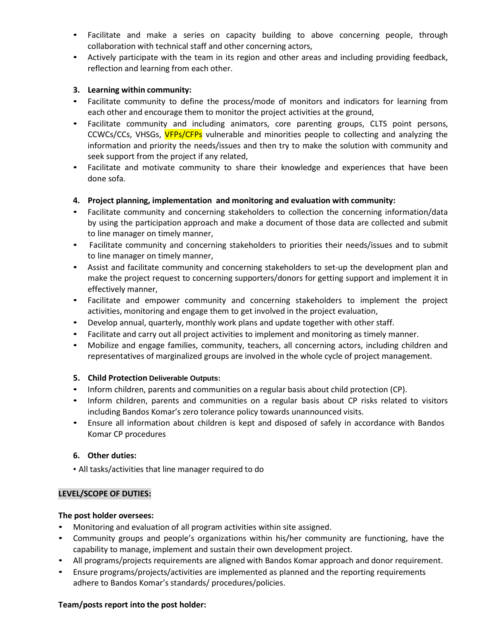- Facilitate and make a series on capacity building to above concerning people, through collaboration with technical staff and other concerning actors,
- Actively participate with the team in its region and other areas and including providing feedback, reflection and learning from each other.

## **3. Learning within community:**

- Facilitate community to define the process/mode of monitors and indicators for learning from each other and encourage them to monitor the project activities at the ground,
- Facilitate community and including animators, core parenting groups, CLTS point persons, CCWCs/CCs, VHSGs, VFPs/CFPs vulnerable and minorities people to collecting and analyzing the information and priority the needs/issues and then try to make the solution with community and seek support from the project if any related,
- Facilitate and motivate community to share their knowledge and experiences that have been done sofa.

## **4. Project planning, implementation and monitoring and evaluation with community:**

- Facilitate community and concerning stakeholders to collection the concerning information/data by using the participation approach and make a document of those data are collected and submit to line manager on timely manner,
- Facilitate community and concerning stakeholders to priorities their needs/issues and to submit to line manager on timely manner,
- Assist and facilitate community and concerning stakeholders to set-up the development plan and make the project request to concerning supporters/donors for getting support and implement it in effectively manner,
- Facilitate and empower community and concerning stakeholders to implement the project activities, monitoring and engage them to get involved in the project evaluation,
- Develop annual, quarterly, monthly work plans and update together with other staff.
- Facilitate and carry out all project activities to implement and monitoring as timely manner.
- Mobilize and engage families, community, teachers, all concerning actors, including children and representatives of marginalized groups are involved in the whole cycle of project management.

### **5. Child Protection Deliverable Outputs:**

- Inform children, parents and communities on a regular basis about child protection (CP).
- Inform children, parents and communities on a regular basis about CP risks related to visitors including Bandos Komar's zero tolerance policy towards unannounced visits.
- Ensure all information about children is kept and disposed of safely in accordance with Bandos Komar CP procedures

### **6. Other duties:**

• All tasks/activities that line manager required to do

### **LEVEL/SCOPE OF DUTIES:**

### **The post holder oversees:**

- Monitoring and evaluation of all program activities within site assigned.
- Community groups and people's organizations within his/her community are functioning, have the capability to manage, implement and sustain their own development project.
- All programs/projects requirements are aligned with Bandos Komar approach and donor requirement.
- Ensure programs/projects/activities are implemented as planned and the reporting requirements adhere to Bandos Komar's standards/ procedures/policies.

### **Team/posts report into the post holder:**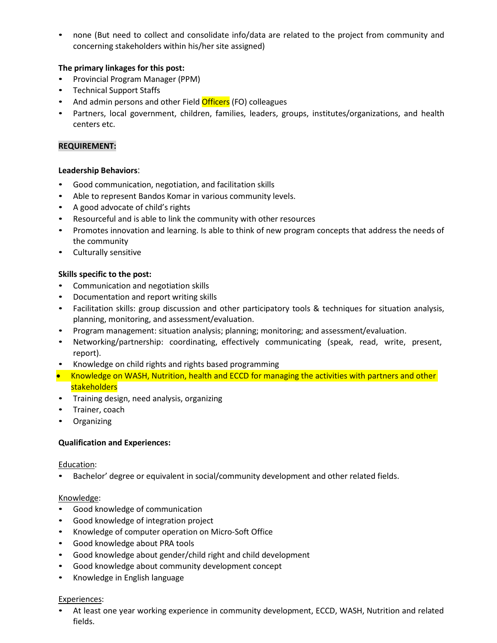• none (But need to collect and consolidate info/data are related to the project from community and concerning stakeholders within his/her site assigned)

## **The primary linkages for this post:**

- Provincial Program Manager (PPM)
- Technical Support Staffs
- And admin persons and other Field **Officers** (FO) colleagues
- Partners, local government, children, families, leaders, groups, institutes/organizations, and health centers etc.

### **REQUIREMENT:**

### **Leadership Behaviors**:

- Good communication, negotiation, and facilitation skills
- Able to represent Bandos Komar in various community levels.
- A good advocate of child's rights
- Resourceful and is able to link the community with other resources
- Promotes innovation and learning. Is able to think of new program concepts that address the needs of the community
- Culturally sensitive

## **Skills specific to the post:**

- Communication and negotiation skills
- Documentation and report writing skills
- Facilitation skills: group discussion and other participatory tools & techniques for situation analysis, planning, monitoring, and assessment/evaluation.
- Program management: situation analysis; planning; monitoring; and assessment/evaluation.
- Networking/partnership: coordinating, effectively communicating (speak, read, write, present, report).
- Knowledge on child rights and rights based programming
- Knowledge on WASH, Nutrition, health and ECCD for managing the activities with partners and other **stakeholders**
- Training design, need analysis, organizing
- Trainer, coach
- Organizing

### **Qualification and Experiences:**

### Education:

• Bachelor' degree or equivalent in social/community development and other related fields.

### Knowledge:

- Good knowledge of communication
- Good knowledge of integration project
- Knowledge of computer operation on Micro-Soft Office
- Good knowledge about PRA tools
- Good knowledge about gender/child right and child development
- Good knowledge about community development concept
- Knowledge in English language

#### Experiences:

• At least one year working experience in community development, ECCD, WASH, Nutrition and related fields.